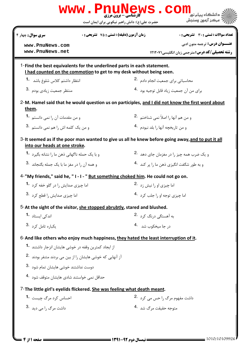|                                                                                                                                                 | حضرت علی(ع): دانش راهبر نیکویی برای ایمان است   | " مرڪز آزمون وسنڊش                                     |
|-------------------------------------------------------------------------------------------------------------------------------------------------|-------------------------------------------------|--------------------------------------------------------|
| <b>زمان آزمون (دقیقه) : تستی : 75 ٪ تشریحی : 0</b><br>سري سوال : چهار ۴                                                                         |                                                 | تعداد سوالات : تستي : 30 ٪ تشريحي : 0                  |
| www.PnuNews.com                                                                                                                                 |                                                 | <b>عنـــوان درس:</b> ترجمه متون ادبي                   |
| www.PnuNews.net                                                                                                                                 |                                                 | <b>رشته تحصیلی/کد درس: مترحمی زبان انگلیسی ۱۲۱۲۰۷۱</b> |
| 1-Find the best equivalents for the underlined parts in each statement.<br>I had counted on the commotion to get to my desk without being seen. |                                                 |                                                        |
| انتظار داشتم کلاس شلوغ باشد <b>1</b> ۰                                                                                                          | محاسباتی برای جمعیت انجام دادم <sup>2</sup> ۰   |                                                        |
| 3. منتظر جمعیت زیادی بودم                                                                                                                       |                                                 | براي من آن جمعت زياد قابل توجيه بود 4.                 |
| 2-M. Hamel said that he would question us on participles, and I did not know the first word about<br>them.                                      |                                                 |                                                        |
| و من مقدمات آن را نمی دانستم 1.                                                                                                                 | و من هم آنها را اصلاً نمی شناختم <sup>2</sup> ۰ |                                                        |
| و من یک کلمه اش را هم نمی دانستم .3                                                                                                             | و من تاريخچه آنها ,ا بلد نبودم <sup>.4</sup>    |                                                        |
| 3- It seemed as if the poor man wanted to give us all he knew before going away, and to put it all<br><u>into our heads at one stroke</u> .     |                                                 |                                                        |
| و با یک حمله ناگهانی ذهن ما را نشانه بگیرد <sup>1</sup> ۰                                                                                       |                                                 | و یک ضرب همه چیز را در مغزمان جای دهد <sup>.2</sup>    |
| و همه آن را در مغز ما با یک جمله بگنجاند 3.                                                                                                     |                                                 | و به طور شگفت انگیزی ذهن ما ۱٫ پر کند <sup>۹۰</sup> ۰  |
| 4-"My friends," said he, "I-I-" But something choked him. He could not go on.                                                                   |                                                 |                                                        |
| اما چیزی صدایش ,ا در گلو خفه کرد <b>1۰</b>                                                                                                      | اما چيزي او را نيش زد <sup>2.</sup>             |                                                        |
| اما چیزی صدایش را قطع کرد 3.                                                                                                                    | اما چيزي توجه او ,ا جلب کرد   .4                |                                                        |
| 5-At the sight of the visitor, she stopped abrubtly, stared and blushed.                                                                        |                                                 |                                                        |
| اندک <sub>ے،</sub> ایستاد <b>1</b>                                                                                                              | به آهستگی د <sub>ر</sub> نگ کړد <sup>.2</sup>   |                                                        |
| 3. يكباره تامل كرد                                                                                                                              | در جا میخکوب شد 4.                              |                                                        |
| 6-And like others who enjoy much happiness, they hated the least interruption of it.                                                            |                                                 |                                                        |
| از ایجاد کمترین وقفه در خوشی هایشان انزجار داشتند <sup>1</sup> ۰                                                                                |                                                 |                                                        |
| آز آنهایی که خوشی هایشان را از بین می بردند متنفر بودند .2                                                                                      |                                                 |                                                        |
| دوست نداشتند خوشى هايشان تمام شود 3.                                                                                                            |                                                 |                                                        |
| حداقل نمی خواستند شادی هایشان متوقف شود <sup>4</sup> ۰                                                                                          |                                                 |                                                        |
| 7-The little girl's eyelids flickered. She was feeling what death meant.                                                                        |                                                 |                                                        |
| احساس کرد مرگ چیست۔ <sup>1</sup>                                                                                                                | داشت مفهوم مرگ را حس می کرد 2.                  |                                                        |
| 3. داشت مرگ ,ا مے ,دید                                                                                                                          | متوجه حقيقت مرگ شد 4.                           |                                                        |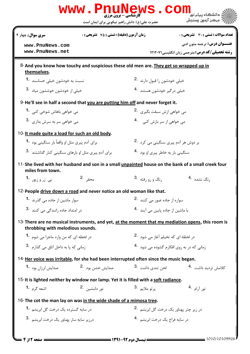|                                                                                                                                       | <b>کارشناسی - برون مرزی</b><br>حضرت علی(ع): دانش راهبر نیکویی برای ایمان است | دانشگاه ییام نو <mark>ر</mark><br>7' مرڪز آزمون وسنڊش  |  |  |
|---------------------------------------------------------------------------------------------------------------------------------------|------------------------------------------------------------------------------|--------------------------------------------------------|--|--|
| <b>سری سوال :</b> چهار ۴                                                                                                              | <b>زمان آزمون (دقیقه) : تستی : 75 تشریحی : 0</b>                             | تعداد سوالات : تستي : 30 ٪ تشريحي : 0                  |  |  |
| www.PnuNews.com                                                                                                                       |                                                                              | <b>عنـــوان درس:</b> ترجمه متون ادبي                   |  |  |
| www.PnuNews.net                                                                                                                       |                                                                              | <b>رشته تحصیلی/کد درس: مترجمی زبان انگلیسی ۱۲۱۲۰۷۱</b> |  |  |
| 8-And you know how touchy and suspicious these old men are. They get so wrapped up in<br>themselves.                                  |                                                                              |                                                        |  |  |
| نسبت به خودشون خیلی حساسند <b>1</b> ۰                                                                                                 | خیلی خودشون را قبول دارند 2.                                                 |                                                        |  |  |
| .<br>خىلى از خودشون خوششون مىاد 8.                                                                                                    | خیلی د <sub>ر</sub> گیر خودشون هستند <sup>.4</sup>                           |                                                        |  |  |
| 9-He'll see in half a second that you are putting him off and never forget it.                                                        |                                                                              |                                                        |  |  |
| می خواهی باهاش شوخی کنی <b>1</b> ۰                                                                                                    | می خواهی ازش سبقت بگیری <sup>.2</sup>                                        |                                                        |  |  |
| مي خواهي سر به سرش بذاري. 3.                                                                                                          | می خواهی از سر بازش کنی 4                                                    |                                                        |  |  |
| 10-It made quite a load for such an old body.                                                                                         |                                                                              |                                                        |  |  |
| برای آدم پیری مثل او واقعاً بار سنگینی بود <b>1</b> ۰                                                                                 |                                                                              | بر دوش هر آدم پیری سنگینی می کرد۔2.                    |  |  |
| برای آدم پیری مثل او بارهای سنگینی کنار گذاشتند <sup>.3</sup>                                                                         | سنگینی بار به خاطر پیری او بود <sup>4</sup> ۰                                |                                                        |  |  |
| 11-She lived with her husband and son in a small unpainted house on the bank of a small creek four<br>miles from town.                |                                                                              |                                                        |  |  |
| محقر .2<br>بی زروزیور <b>1.</b>                                                                                                       | رنگ و <sub>ر</sub> و <sub>د</sub> فته <sup>.3</sup>                          | رنگ نشده <sup>.4</sup>                                 |  |  |
| 12-People drive down a road and never notice an old woman like that.                                                                  |                                                                              |                                                        |  |  |
| سوار ماشین از جاده می گذرند <b>1</b> ۰                                                                                                |                                                                              | سوارہ از جادہ عبور مے کنند۔2                           |  |  |
| در امتداد جاده رانندگی می کنند 3.                                                                                                     |                                                                              | با ماشین از جاده پایین می آیند <sup>.4</sup>           |  |  |
| 13-There are no musical instruments, and yet, at the moment that my mediation opens, this room is<br>throbbing with melodious sounds. |                                                                              |                                                        |  |  |
| در لحظه ای که من وارد ماجرا می شوم <b>1</b> ۰                                                                                         |                                                                              | در لحظه ای که تخیلم آغاز می شود 2.                     |  |  |
| زمانی که پا به داخل اتاق می گذارم 3.                                                                                                  |                                                                              | زمانی که در به روی افکارم گشوده می شود 4.              |  |  |
| 14-Her voice was irritable, for she had been interrupted often since the music began.                                                 |                                                                              |                                                        |  |  |
| صدایش خشن بود .2<br>صدایش لرزان بود <b>-1</b>                                                                                         | لحن تندي داشت <sup>.3</sup>                                                  | كلامش ترديد داشت 4.                                    |  |  |
| 15- It is lighted neither by window nor lamp. Yet it is filled with a soft radiance.                                                  |                                                                              |                                                        |  |  |
| اشعه گرم 1.<br>نور دلنشىن 2.                                                                                                          | ي <sub>ر</sub> تو ملايم <sup>.3</sup>                                        | نور آ <sub>ر</sub> ام 4.                               |  |  |
| 16-The cot the man lay on was in the wide shade of a mimosa tree.                                                                     |                                                                              |                                                        |  |  |
| در سایه گسترده یک درخت گل ابریشم <b>1۰</b>                                                                                            |                                                                              | در زیر چتر پهناور یک درخت گل ابریشم <sup>.2</sup>      |  |  |
| درزیر سایه سار یهناور یک درخت ابریشم <sup>.3</sup>                                                                                    |                                                                              | در سايه فراخ يک درخت ابريشم 4.                         |  |  |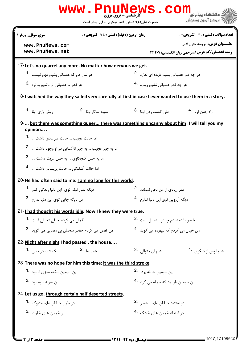| سری سوال: چهار ۴<br><b>زمان آزمون (دقیقه) : تستی : 75 ٪ تشریحی : 0</b><br>تعداد سوالات : تستي : 30 ٪ تشريحي : 0 |                                                           |                                                        |  |  |
|-----------------------------------------------------------------------------------------------------------------|-----------------------------------------------------------|--------------------------------------------------------|--|--|
| www.PnuNews.com                                                                                                 |                                                           | <b>عنـــوان درس:</b> ترجمه متون ادبي                   |  |  |
| www.PnuNews.net                                                                                                 |                                                           | <b>رشته تحصیلی/کد درس:</b> مترجمی زبان انگلیسی/۱۲۱۲۰۷۱ |  |  |
| 17-Let's no quarrel any more. No matter how nervous we get.                                                     |                                                           |                                                        |  |  |
| هر قدر هم که عصبانی بشیم مهم نیست 1۰                                                                            | هر چه قدر عصبانی بشیم فایده ای نداره <sup>.2</sup>        |                                                        |  |  |
| هر قدر ما عصبانی تر باشیم بدتره 3.                                                                              | هر چه قدر عصبانی نشیم بهتره 4.                            |                                                        |  |  |
| 18-I watched the way they sailed very carefully at first in case I ever wanted to use them in a story.          |                                                           |                                                        |  |  |
| شيوه شكا <sub>ر أونا</sub> .2<br>روش بازی اونا <b>1</b> ۰                                                       | طرز گشت زدن اونا <sup>.3</sup>                            | راه رفتن اونا 4.                                       |  |  |
| 19- but there was something queer there was something uncanny about him. I will tell you my<br>opinion          |                                                           |                                                        |  |  |
| اما حالت عجيب … حالت غيرعادي داشت …  1 <b>.</b>                                                                 |                                                           |                                                        |  |  |
| اما يه چيز عجيب  يه چيز ناآشنايي در او وجود داشت <sup>.2</sup>                                                  |                                                           |                                                        |  |  |
| اما يه حس كنجكاوى  يه حس غربت داشت  3.                                                                          |                                                           |                                                        |  |  |
| .اما حالت آشفتگی  حالت پریشانی داشت <sup>.4</sup>                                                               |                                                           |                                                        |  |  |
| 20-He had often said to me: I am no long for this world.                                                        |                                                           |                                                        |  |  |
| دیگه نمی تونم توی  این دنیا زندگی کنم <b>-1</b>                                                                 | عمر زیادی از من باقی نمونده <sup>2</sup> ۰                |                                                        |  |  |
| من دیگه جایی توی این دنیا ندارم <sup>.3</sup>                                                                   | دیگه آ <sub>رزویی</sub> توی این دنیا ندارم <sup>۹</sup> ۰ |                                                        |  |  |
| 21-I had thought his words idle. Now I knew they were true.                                                     |                                                           |                                                        |  |  |
| گمان می کردم خیلی تخیلی است <b>1۰</b>                                                                           |                                                           | با خود اندیشیدم چقدر ایده آل است <sup>.2</sup>         |  |  |
| من تصور مي كردم چقدر سخنان بي معنايي مي گويد $\cdot$ 8.                                                         | من خیال می کردم که بیهوده می گوید 4.                      |                                                        |  |  |
| 22-Night after night I had passed, the house                                                                    |                                                           |                                                        |  |  |
| شب ها 2.<br>یک شب د <sub>ر</sub> میان <b>1</b> ۰                                                                | شبهای متوالی . <sup>3</sup>                               | شبها پس از دیگری <sup>.4</sup>                         |  |  |
| 23-There was no hope for him this time: it was the third stroke.                                                |                                                           |                                                        |  |  |
| این سومین سکته مغزی او بود <b>1</b> ۰                                                                           | این سومین حمله بود <sup>2</sup> ۰                         |                                                        |  |  |
| اين ضربه سوم بود <sup>.3</sup>                                                                                  | این سومین بار بود که حمله می کرد 4.                       |                                                        |  |  |
| 24-Let us go, through certain half deserted streets,                                                            |                                                           |                                                        |  |  |
| در طول خیابان های متروک <b>1</b> ۰                                                                              | در امتداد خیابان های بیشما, 2.                            |                                                        |  |  |
| 3. خيابان هاى خلوت 3.                                                                                           | در امتداد خیابان های خشک <sup>4</sup> ۰                   |                                                        |  |  |